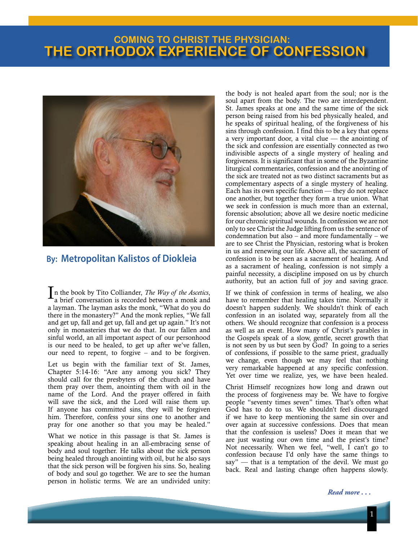## **THE ORTHODOX EXPERIENCE OF CONFESSION COMING TO CHRIST THE PHYSICIAN:**



## **By: Metropolitan Kalistos of Diokleia**

In the book by Tito Colliander, *The Way of the Ascetics*, a brief conversation is recorded between a monk and a layman. The layman asks the monk, "What do you do there in the monastery?" And the monk replies, "We fall and get up, fall and get up, fall and get up again." It's not only in monasteries that we do that. In our fallen and sinful world, an all important aspect of our personhood is our need to be healed, to get up after we've fallen, our need to repent, to forgive – and to be forgiven.

Let us begin with the familiar text of St. James, Chapter 5:14-16: "Are any among you sick? They should call for the presbyters of the church and have them pray over them, anointing them with oil in the name of the Lord. And the prayer offered in faith will save the sick, and the Lord will raise them up. If anyone has committed sins, they will be forgiven him. Therefore, confess your sins one to another and pray for one another so that you may be healed."

What we notice in this passage is that St. James is speaking about healing in an all-embracing sense of body and soul together. He talks about the sick person being healed through anointing with oil, but he also says that the sick person will be forgiven his sins. So, healing of body and soul go together. We are to see the human person in holistic terms. We are an undivided unity: the body is not healed apart from the soul; nor is the soul apart from the body. The two are interdependent. St. James speaks at one and the same time of the sick person being raised from his bed physically healed, and he speaks of spiritual healing, of the forgiveness of his sins through confession. I find this to be a key that opens a very important door, a vital clue  $-$  the anointing of the sick and confession are essentially connected as two indivisible aspects of a single mystery of healing and forgiveness. It is significant that in some of the Byzantine liturgical commentaries, confession and the anointing of the sick are treated not as two distinct sacraments but as complementary aspects of a single mystery of healing. Each has its own specific function — they do not replace one another, but together they form a true union. What we seek in confession is much more than an external, forensic absolution; above all we desire noetic medicine for our chronic spiritual wounds. In confession we are not only to see Christ the Judge lifting from us the sentence of condemnation but also – and more fundamentally – we are to see Christ the Physician, restoring what is broken in us and renewing our life. Above all, the sacrament of confession is to be seen as a sacrament of healing. And as a sacrament of healing, confession is not simply a painful necessity, a discipline imposed on us by church authority, but an action full of joy and saving grace.

If we think of confession in terms of healing, we also have to remember that healing takes time. Normally it doesn't happen suddenly. We shouldn't think of each confession in an isolated way, separately from all the others. We should recognize that confession is a process as well as an event. How many of Christ's parables in the Gospels speak of a slow, gentle, secret growth that is not seen by us but seen by God? In going to a series of confessions, if possible to the same priest, gradually we change, even though we may feel that nothing very remarkable happened at any specific confession. Yet over time we realize, yes, we have been healed.

Christ Himself recognizes how long and drawn out the process of forgiveness may be. We have to forgive people "seventy times seven" times. That's often what God has to do to us. We shouldn't feel discouraged if we have to keep mentioning the same sin over and over again at successive confessions. Does that mean that the confession is useless? Does it mean that we are just wasting our own time and the priest's time? Not necessarily. When we feel, "well, I can't go to confession because I'd only have the same things to say" — that is a temptation of the devil. We must go back. Real and lasting change often happens slowly.

*Read more . . .*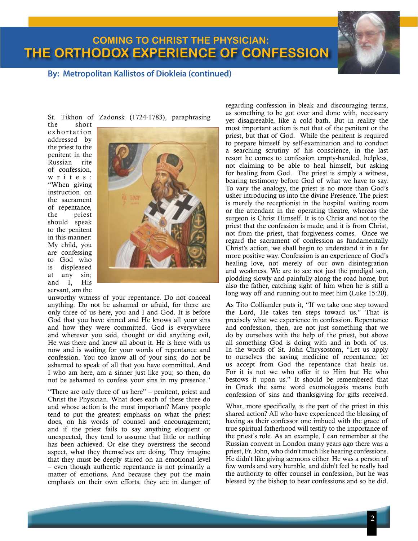## **THE ORTHODOX EXPERIENCE OF CONFESSION COMING TO CHRIST THE PHYSICIAN:**



**By: Metropolitan Kallistos of Diokleia (continued)**

St. Tikhon of Zadonsk (1724-1783), paraphrasing

the short e x h o r t a tion addressed by the priest to the penitent in the Russian rite of confession, w r i t e s : "When giving instruction on the sacrament of repentance, the priest should speak to the penitent in this manner: My child, you are confessing to God who is displeased at any sin; and I, His servant, am the



unworthy witness of your repentance. Do not conceal anything. Do not be ashamed or afraid, for there are only three of us here, you and I and God. It is before God that you have sinned and He knows all your sins and how they were committed. God is everywhere and wherever you said, thought or did anything evil, He was there and knew all about it. He is here with us now and is waiting for your words of repentance and confession. You too know all of your sins; do not be ashamed to speak of all that you have committed. And I who am here, am a sinner just like you; so then, do not be ashamed to confess your sins in my presence."

"There are only three of us here" – penitent, priest and Christ the Physician. What does each of these three do and whose action is the most important? Many people tend to put the greatest emphasis on what the priest does, on his words of counsel and encouragement; and if the priest fails to say anything eloquent or unexpected, they tend to assume that little or nothing has been achieved. Or else they overstress the second aspect, what they themselves are doing. They imagine that they must be deeply stirred on an emotional level – even though authentic repentance is not primarily a matter of emotions. And because they put the main emphasis on their own efforts, they are in danger of regarding confession in bleak and discouraging terms, as something to be got over and done with, necessary yet disagreeable, like a cold bath. But in reality the most important action is not that of the penitent or the priest, but that of God. While the penitent is required to prepare himself by self-examination and to conduct a searching scrutiny of his conscience, in the last resort he comes to confession empty-handed, helpless, not claiming to be able to heal himself, but asking for healing from God. The priest is simply a witness, bearing testimony before God of what we have to say. To vary the analogy, the priest is no more than God's usher introducing us into the divine Presence. The priest is merely the receptionist in the hospital waiting room or the attendant in the operating theatre, whereas the surgeon is Christ Himself. It is to Christ and not to the priest that the confession is made; and it is from Christ, not from the priest, that forgiveness comes. Once we regard the sacrament of confession as fundamentally Christ's action, we shall begin to understand it in a far more positive way. Confession is an experience of God's healing love, not merely of our own disintegration and weakness. We are to see not just the prodigal son, plodding slowly and painfully along the road home, but also the father, catching sight of him when he is still a long way off and running out to meet him (Luke 15:20).

As Tito Colliander puts it, "If we take one step toward the Lord, He takes ten steps toward us." That is precisely what we experience in confession. Repentance and confession, then, are not just something that we do by ourselves with the help of the priest, but above all something God is doing with and in both of us. In the words of St. John Chrysostom, "Let us apply to ourselves the saving medicine of repentance; let us accept from God the repentance that heals us. For it is not we who offer it to Him but He who bestows it upon us." It should be remembered that in Greek the same word exomologesis means both confession of sins and thanksgiving for gifts received.

What, more specifically, is the part of the priest in this shared action? All who have experienced the blessing of having as their confessor one imbued with the grace of true spiritual fatherhood will testify to the importance of the priest's role. As an example, I can remember at the Russian convent in London many years ago there was a priest, Fr. John, who didn't much like hearing confessions. He didn't like giving sermons either. He was a person of few words and very humble, and didn't feel he really had the authority to offer counsel in confession, but he was blessed by the bishop to hear confessions and so he did.